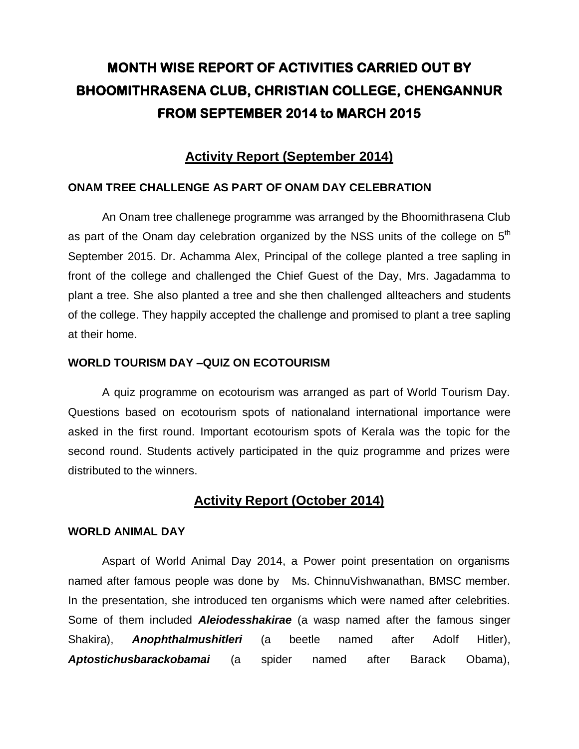# **MONTH WISE REPORT OF ACTIVITIES CARRIED OUT BY BHOOMITHRASENA CLUB, CHRISTIAN COLLEGE, CHENGANNUR FROM SEPTEMBER 2014 to MARCH 2015**

# **Activity Report (September 2014)**

### **ONAM TREE CHALLENGE AS PART OF ONAM DAY CELEBRATION**

An Onam tree challenege programme was arranged by the Bhoomithrasena Club as part of the Onam day celebration organized by the NSS units of the college on 5<sup>th</sup> September 2015. Dr. Achamma Alex, Principal of the college planted a tree sapling in front of the college and challenged the Chief Guest of the Day, Mrs. Jagadamma to plant a tree. She also planted a tree and she then challenged allteachers and students of the college. They happily accepted the challenge and promised to plant a tree sapling at their home.

## **WORLD TOURISM DAY –QUIZ ON ECOTOURISM**

A quiz programme on ecotourism was arranged as part of World Tourism Day. Questions based on ecotourism spots of nationaland international importance were asked in the first round. Important ecotourism spots of Kerala was the topic for the second round. Students actively participated in the quiz programme and prizes were distributed to the winners.

# **Activity Report (October 2014)**

### **WORLD ANIMAL DAY**

Aspart of World Animal Day 2014, a Power point presentation on organisms named after famous people was done by Ms. ChinnuVishwanathan, BMSC member. In the presentation, she introduced ten organisms which were named after celebrities. Some of them included *Aleiodesshakirae* (a wasp named after the famous singer Shakira), *Anophthalmushitleri* (a beetle named after Adolf Hitler), *Aptostichusbarackobamai* (a spider named after Barack Obama),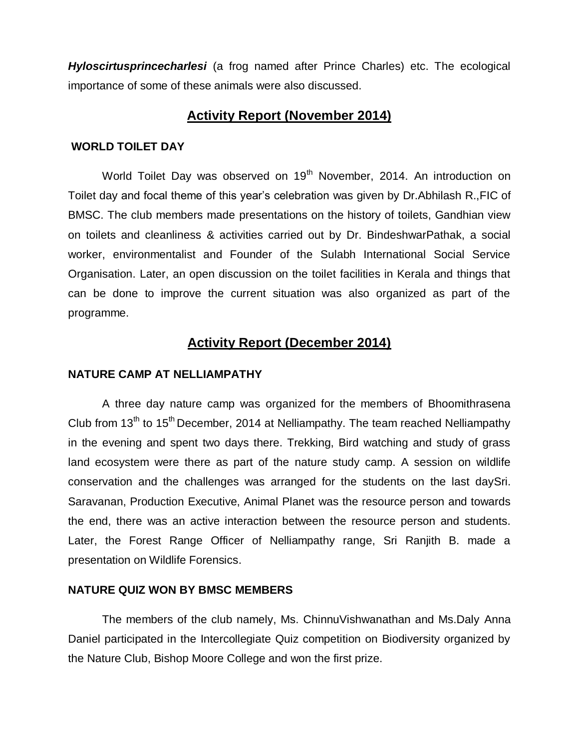*Hyloscirtusprincecharlesi* (a frog named after Prince Charles) etc. The ecological importance of some of these animals were also discussed.

# **Activity Report (November 2014)**

### **WORLD TOILET DAY**

World Toilet Day was observed on 19<sup>th</sup> November, 2014. An introduction on Toilet day and focal theme of this year"s celebration was given by Dr.Abhilash R.,FIC of BMSC. The club members made presentations on the history of toilets, Gandhian view on toilets and cleanliness & activities carried out by Dr. BindeshwarPathak, a social worker, environmentalist and Founder of the Sulabh International Social Service Organisation. Later, an open discussion on the toilet facilities in Kerala and things that can be done to improve the current situation was also organized as part of the programme.

## **Activity Report (December 2014)**

#### **NATURE CAMP AT NELLIAMPATHY**

A three day nature camp was organized for the members of Bhoomithrasena Club from  $13<sup>th</sup>$  to  $15<sup>th</sup>$  December, 2014 at Nelliampathy. The team reached Nelliampathy in the evening and spent two days there. Trekking, Bird watching and study of grass land ecosystem were there as part of the nature study camp. A session on wildlife conservation and the challenges was arranged for the students on the last daySri. Saravanan, Production Executive, Animal Planet was the resource person and towards the end, there was an active interaction between the resource person and students. Later, the Forest Range Officer of Nelliampathy range, Sri Ranjith B. made a presentation on Wildlife Forensics.

#### **NATURE QUIZ WON BY BMSC MEMBERS**

The members of the club namely, Ms. ChinnuVishwanathan and Ms.Daly Anna Daniel participated in the Intercollegiate Quiz competition on Biodiversity organized by the Nature Club, Bishop Moore College and won the first prize.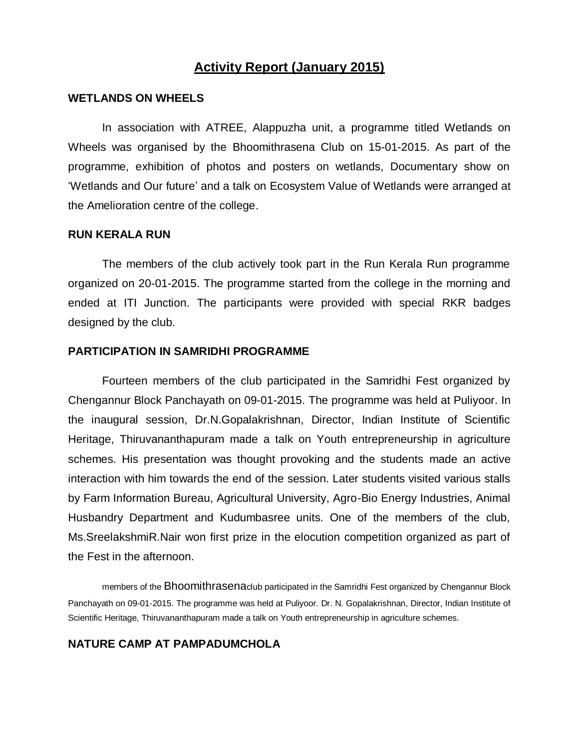# **Activity Report (January 2015)**

#### **WETLANDS ON WHEELS**

In association with ATREE, Alappuzha unit, a programme titled Wetlands on Wheels was organised by the Bhoomithrasena Club on 15-01-2015. As part of the programme, exhibition of photos and posters on wetlands, Documentary show on "Wetlands and Our future" and a talk on Ecosystem Value of Wetlands were arranged at the Amelioration centre of the college.

#### **RUN KERALA RUN**

The members of the club actively took part in the Run Kerala Run programme organized on 20-01-2015. The programme started from the college in the morning and ended at ITI Junction. The participants were provided with special RKR badges designed by the club.

#### **PARTICIPATION IN SAMRIDHI PROGRAMME**

Fourteen members of the club participated in the Samridhi Fest organized by Chengannur Block Panchayath on 09-01-2015. The programme was held at Puliyoor. In the inaugural session, Dr.N.Gopalakrishnan, Director, Indian Institute of Scientific Heritage, Thiruvananthapuram made a talk on Youth entrepreneurship in agriculture schemes. His presentation was thought provoking and the students made an active interaction with him towards the end of the session. Later students visited various stalls by Farm Information Bureau, Agricultural University, Agro-Bio Energy Industries, Animal Husbandry Department and Kudumbasree units. One of the members of the club, Ms.SreelakshmiR.Nair won first prize in the elocution competition organized as part of the Fest in the afternoon.

members of the Bhoomithrasenaclub participated in the Samridhi Fest organized by Chengannur Block Panchayath on 09-01-2015. The programme was held at Puliyoor. Dr. N. Gopalakrishnan, Director, Indian Institute of Scientific Heritage, Thiruvananthapuram made a talk on Youth entrepreneurship in agriculture schemes.

#### **NATURE CAMP AT PAMPADUMCHOLA**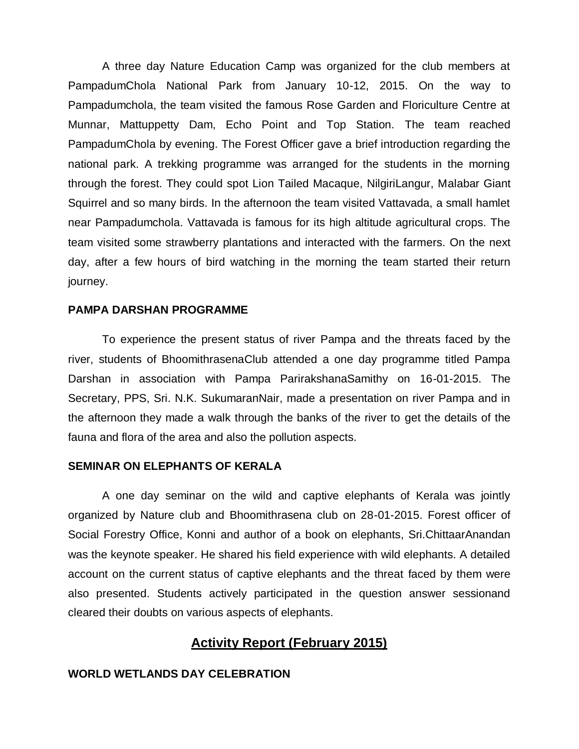A three day Nature Education Camp was organized for the club members at PampadumChola National Park from January 10-12, 2015. On the way to Pampadumchola, the team visited the famous Rose Garden and Floriculture Centre at Munnar, Mattuppetty Dam, Echo Point and Top Station. The team reached PampadumChola by evening. The Forest Officer gave a brief introduction regarding the national park. A trekking programme was arranged for the students in the morning through the forest. They could spot Lion Tailed Macaque, NilgiriLangur, Malabar Giant Squirrel and so many birds. In the afternoon the team visited Vattavada, a small hamlet near Pampadumchola. Vattavada is famous for its high altitude agricultural crops. The team visited some strawberry plantations and interacted with the farmers. On the next day, after a few hours of bird watching in the morning the team started their return journey.

#### **PAMPA DARSHAN PROGRAMME**

To experience the present status of river Pampa and the threats faced by the river, students of BhoomithrasenaClub attended a one day programme titled Pampa Darshan in association with Pampa ParirakshanaSamithy on 16-01-2015. The Secretary, PPS, Sri. N.K. SukumaranNair, made a presentation on river Pampa and in the afternoon they made a walk through the banks of the river to get the details of the fauna and flora of the area and also the pollution aspects.

#### **SEMINAR ON ELEPHANTS OF KERALA**

A one day seminar on the wild and captive elephants of Kerala was jointly organized by Nature club and Bhoomithrasena club on 28-01-2015. Forest officer of Social Forestry Office, Konni and author of a book on elephants, Sri.ChittaarAnandan was the keynote speaker. He shared his field experience with wild elephants. A detailed account on the current status of captive elephants and the threat faced by them were also presented. Students actively participated in the question answer sessionand cleared their doubts on various aspects of elephants.

# **Activity Report (February 2015)**

#### **WORLD WETLANDS DAY CELEBRATION**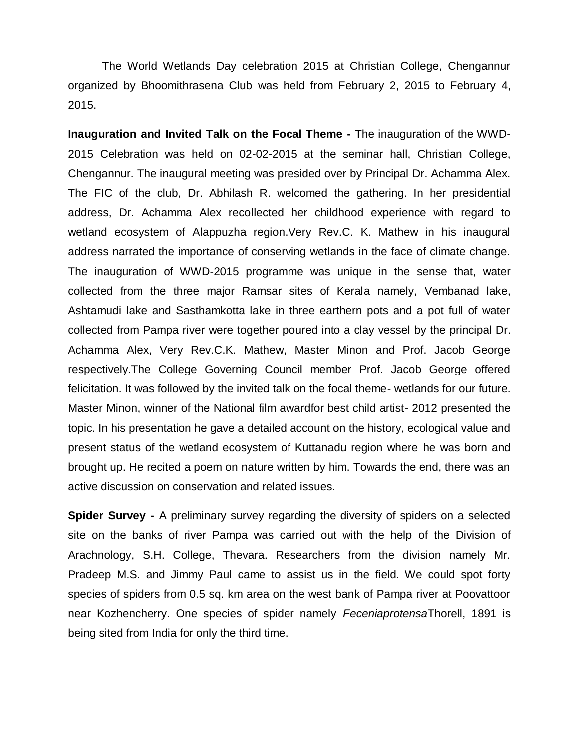The World Wetlands Day celebration 2015 at Christian College, Chengannur organized by Bhoomithrasena Club was held from February 2, 2015 to February 4, 2015.

**Inauguration and Invited Talk on the Focal Theme -** The inauguration of the WWD-2015 Celebration was held on 02-02-2015 at the seminar hall, Christian College, Chengannur. The inaugural meeting was presided over by Principal Dr. Achamma Alex. The FIC of the club, Dr. Abhilash R. welcomed the gathering. In her presidential address, Dr. Achamma Alex recollected her childhood experience with regard to wetland ecosystem of Alappuzha region.Very Rev.C. K. Mathew in his inaugural address narrated the importance of conserving wetlands in the face of climate change. The inauguration of WWD-2015 programme was unique in the sense that, water collected from the three major Ramsar sites of Kerala namely, Vembanad lake, Ashtamudi lake and Sasthamkotta lake in three earthern pots and a pot full of water collected from Pampa river were together poured into a clay vessel by the principal Dr. Achamma Alex, Very Rev.C.K. Mathew, Master Minon and Prof. Jacob George respectively.The College Governing Council member Prof. Jacob George offered felicitation. It was followed by the invited talk on the focal theme- wetlands for our future. Master Minon, winner of the National film awardfor best child artist- 2012 presented the topic. In his presentation he gave a detailed account on the history, ecological value and present status of the wetland ecosystem of Kuttanadu region where he was born and brought up. He recited a poem on nature written by him. Towards the end, there was an active discussion on conservation and related issues.

**Spider Survey -** A preliminary survey regarding the diversity of spiders on a selected site on the banks of river Pampa was carried out with the help of the Division of Arachnology, S.H. College, Thevara. Researchers from the division namely Mr. Pradeep M.S. and Jimmy Paul came to assist us in the field. We could spot forty species of spiders from 0.5 sq. km area on the west bank of Pampa river at Poovattoor near Kozhencherry. One species of spider namely *Feceniaprotensa*Thorell, 1891 is being sited from India for only the third time.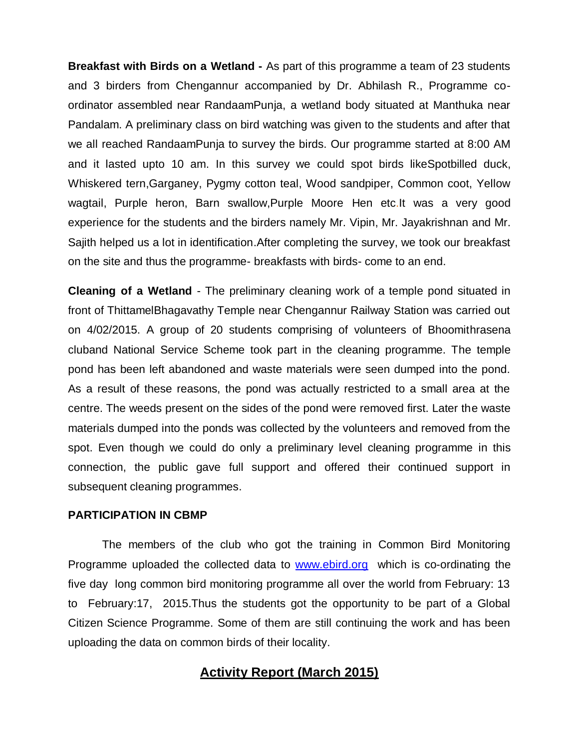**Breakfast with Birds on a Wetland -** As part of this programme a team of 23 students and 3 birders from Chengannur accompanied by Dr. Abhilash R., Programme coordinator assembled near RandaamPunja, a wetland body situated at Manthuka near Pandalam. A preliminary class on bird watching was given to the students and after that we all reached RandaamPunja to survey the birds. Our programme started at 8:00 AM and it lasted upto 10 am. In this survey we could spot birds likeSpotbilled duck, Whiskered tern,Garganey, Pygmy cotton teal, Wood sandpiper, Common coot, Yellow wagtail, Purple heron, Barn swallow,Purple Moore Hen etc.It was a very good experience for the students and the birders namely Mr. Vipin, Mr. Jayakrishnan and Mr. Sajith helped us a lot in identification.After completing the survey, we took our breakfast on the site and thus the programme- breakfasts with birds- come to an end.

**Cleaning of a Wetland** - The preliminary cleaning work of a temple pond situated in front of ThittamelBhagavathy Temple near Chengannur Railway Station was carried out on 4/02/2015. A group of 20 students comprising of volunteers of Bhoomithrasena cluband National Service Scheme took part in the cleaning programme. The temple pond has been left abandoned and waste materials were seen dumped into the pond. As a result of these reasons, the pond was actually restricted to a small area at the centre. The weeds present on the sides of the pond were removed first. Later the waste materials dumped into the ponds was collected by the volunteers and removed from the spot. Even though we could do only a preliminary level cleaning programme in this connection, the public gave full support and offered their continued support in subsequent cleaning programmes.

#### **PARTICIPATION IN CBMP**

The members of the club who got the training in Common Bird Monitoring Programme uploaded the collected data to [www.ebird.org](http://www.ebird.org/) which is co-ordinating the five day long common bird monitoring programme all over the world from February: 13 to February:17, 2015.Thus the students got the opportunity to be part of a Global Citizen Science Programme. Some of them are still continuing the work and has been uploading the data on common birds of their locality.

# **Activity Report (March 2015)**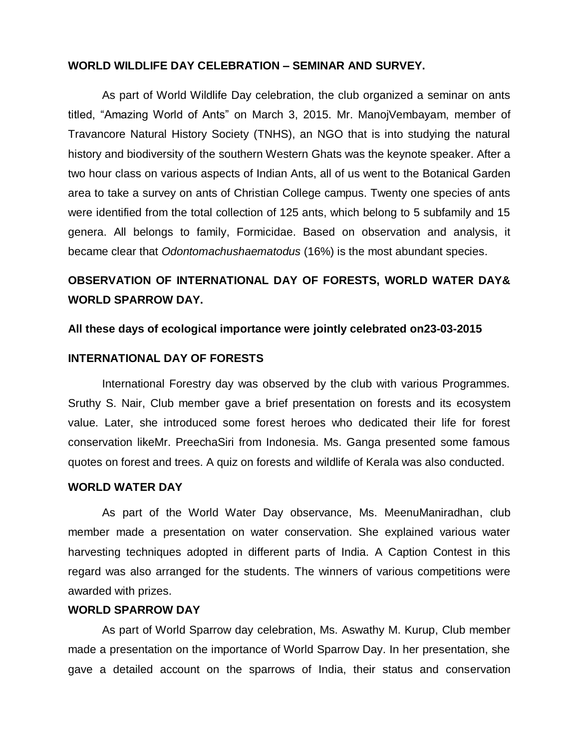#### **WORLD WILDLIFE DAY CELEBRATION – SEMINAR AND SURVEY.**

As part of World Wildlife Day celebration, the club organized a seminar on ants titled, "Amazing World of Ants" on March 3, 2015. Mr. ManojVembayam, member of Travancore Natural History Society (TNHS), an NGO that is into studying the natural history and biodiversity of the southern Western Ghats was the keynote speaker. After a two hour class on various aspects of Indian Ants, all of us went to the Botanical Garden area to take a survey on ants of Christian College campus. Twenty one species of ants were identified from the total collection of 125 ants, which belong to 5 subfamily and 15 genera. All belongs to family, Formicidae. Based on observation and analysis, it became clear that *Odontomachushaematodus* (16%) is the most abundant species.

# **OBSERVATION OF INTERNATIONAL DAY OF FORESTS, WORLD WATER DAY& WORLD SPARROW DAY.**

#### **All these days of ecological importance were jointly celebrated on23-03-2015**

#### **INTERNATIONAL DAY OF FORESTS**

International Forestry day was observed by the club with various Programmes. Sruthy S. Nair, Club member gave a brief presentation on forests and its ecosystem value. Later, she introduced some forest heroes who dedicated their life for forest conservation likeMr. PreechaSiri from Indonesia. Ms. Ganga presented some famous quotes on forest and trees. A quiz on forests and wildlife of Kerala was also conducted.

#### **WORLD WATER DAY**

As part of the World Water Day observance, Ms. MeenuManiradhan, club member made a presentation on water conservation. She explained various water harvesting techniques adopted in different parts of India. A Caption Contest in this regard was also arranged for the students. The winners of various competitions were awarded with prizes.

#### **WORLD SPARROW DAY**

As part of World Sparrow day celebration, Ms. Aswathy M. Kurup, Club member made a presentation on the importance of World Sparrow Day. In her presentation, she gave a detailed account on the sparrows of India, their status and conservation